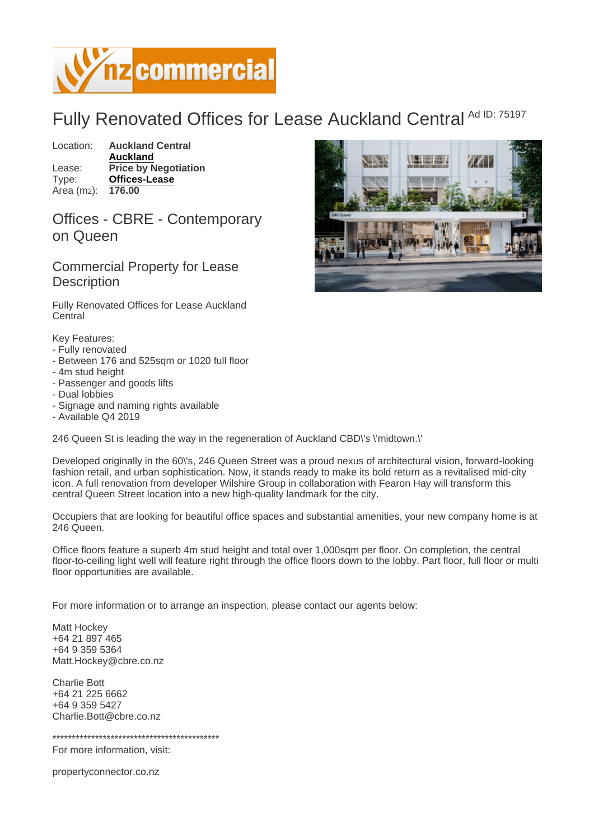## Fully Renovated Offices for Lease Auckland Central Ad ID: 75197

Location: Auckland Central [Auckland](https://www.nzcommercial.co.nz/commercial-property/location/Auckland) Lease: Price by Negotiation Type: [Offices-Lease](https://www.nzcommercial.co.nz/commercial-property/Offices-Lease/New-Zealand) Area (m<sub>2</sub>): 176.00

Offices - CBRE - Contemporary on Queen

Commercial Property for Lease **Description** 

Fully Renovated Offices for Lease Auckland **Central** 

Key Features:

- Fully renovated
- Between 176 and 525sqm or 1020 full floor
- 4m stud height
- Passenger and goods lifts
- Dual lobbies
- Signage and naming rights available
- Available Q4 2019

246 Queen St is leading the way in the regeneration of Auckland CBD\'s \'midtown.\'

Developed originally in the 60\'s, 246 Queen Street was a proud nexus of architectural vision, forward-looking fashion retail, and urban sophistication. Now, it stands ready to make its bold return as a revitalised mid-city icon. A full renovation from developer Wilshire Group in collaboration with Fearon Hay will transform this central Queen Street location into a new high-quality landmark for the city.

Occupiers that are looking for beautiful office spaces and substantial amenities, your new company home is at 246 Queen.

Office floors feature a superb 4m stud height and total over 1,000sqm per floor. On completion, the central floor-to-ceiling light well will feature right through the office floors down to the lobby. Part floor, full floor or multi floor opportunities are available.

For more information or to arrange an inspection, please contact our agents below:

Matt Hockey +64 21 897 465 +64 9 359 5364 Matt.Hockey@cbre.co.nz

Charlie Bott +64 21 225 6662 +64 9 359 5427 Charlie.Bott@cbre.co.nz

\*\*\*\*\*\*\*\*\*\*\*\*\*\*\*\*\*\*\*\*\*\*\*\*\*\*\*\*\*\*\*\*\*\*\*\*\*\*\*\*\*\*\*

For more information, visit:

propertyconnector.co.nz